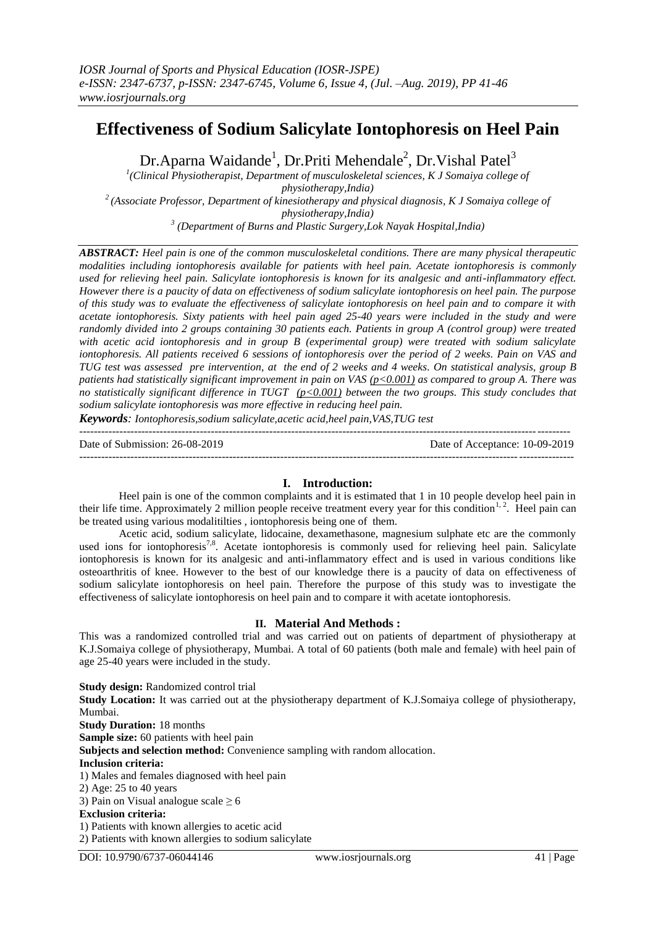# **Effectiveness of Sodium Salicylate Iontophoresis on Heel Pain**

Dr.Aparna Waidande<sup>1</sup>, Dr.Priti Mehendale<sup>2</sup>, Dr.Vishal Patel<sup>3</sup>

<sup>1</sup>(Clinical Physiotherapist, Department of musculoskeletal sciences, K J Somaiya college of *physiotherapy,India) <sup>2</sup>(Associate Professor, Department of kinesiotherapy and physical diagnosis, K J Somaiya college of physiotherapy,India) 3 (Department of Burns and Plastic Surgery,Lok Nayak Hospital,India)*

*ABSTRACT: Heel pain is one of the common musculoskeletal conditions. There are many physical therapeutic modalities including iontophoresis available for patients with heel pain. Acetate iontophoresis is commonly used for relieving heel pain. Salicylate iontophoresis is known for its analgesic and anti-inflammatory effect. However there is a paucity of data on effectiveness of sodium salicylate iontophoresis on heel pain. The purpose of this study was to evaluate the effectiveness of salicylate iontophoresis on heel pain and to compare it with acetate iontophoresis. Sixty patients with heel pain aged 25-40 years were included in the study and were randomly divided into 2 groups containing 30 patients each. Patients in group A (control group) were treated with acetic acid iontophoresis and in group B (experimental group) were treated with sodium salicylate iontophoresis. All patients received 6 sessions of iontophoresis over the period of 2 weeks. Pain on VAS and TUG test was assessed pre intervention, at the end of 2 weeks and 4 weeks. On statistical analysis, group B patients had statistically significant improvement in pain on VAS (p<0.001) as compared to group A. There was no statistically significant difference in TUGT (p<0.001) between the two groups. This study concludes that sodium salicylate iontophoresis was more effective in reducing heel pain.* 

*Keywords: Iontophoresis,sodium salicylate,acetic acid,heel pain,VAS,TUG test*

-------------------------------------------------------------------------------------------------------------------------------------- Date of Submission: 26-08-2019 Date of Acceptance: 10-09-2019

### **I. Introduction:**

Heel pain is one of the common complaints and it is estimated that 1 in 10 people develop heel pain in their life time. Approximately 2 million people receive treatment every year for this condition<sup>1, 2</sup>. Heel pain can be treated using various modalitilties , iontophoresis being one of them.

Acetic acid, sodium salicylate, lidocaine, dexamethasone, magnesium sulphate etc are the commonly used ions for iontophoresis<sup>7,8</sup>. Acetate iontophoresis is commonly used for relieving heel pain. Salicylate iontophoresis is known for its analgesic and anti-inflammatory effect and is used in various conditions like osteoarthritis of knee. However to the best of our knowledge there is a paucity of data on effectiveness of sodium salicylate iontophoresis on heel pain. Therefore the purpose of this study was to investigate the effectiveness of salicylate iontophoresis on heel pain and to compare it with acetate iontophoresis.

### **II. Material And Methods :**

This was a randomized controlled trial and was carried out on patients of department of physiotherapy at K.J.Somaiya college of physiotherapy, Mumbai. A total of 60 patients (both male and female) with heel pain of age 25-40 years were included in the study.

**Study design:** Randomized control trial **Study Location:** It was carried out at the physiotherapy department of K.J.Somaiya college of physiotherapy, Mumbai. **Study Duration:** 18 months **Sample size:** 60 patients with heel pain **Subjects and selection method:** Convenience sampling with random allocation. **Inclusion criteria:** 1) Males and females diagnosed with heel pain 2) Age: 25 to 40 years 3) Pain on Visual analogue scale  $\geq 6$ **Exclusion criteria:** 1) Patients with known allergies to acetic acid

2) Patients with known allergies to sodium salicylate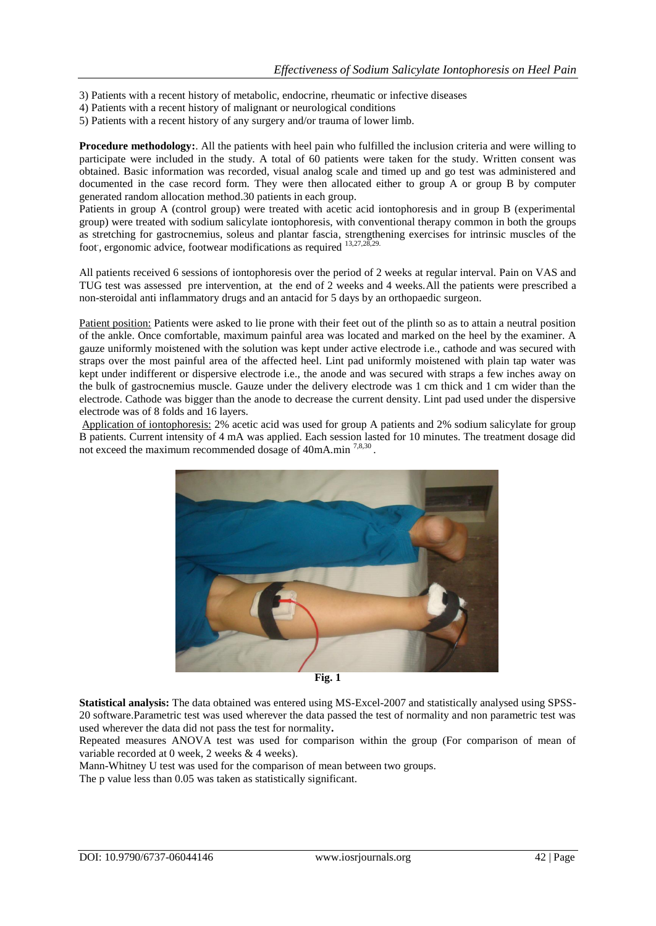- 3) Patients with a recent history of metabolic, endocrine, rheumatic or infective diseases
- 4) Patients with a recent history of malignant or neurological conditions
- 5) Patients with a recent history of any surgery and/or trauma of lower limb.

**Procedure methodology:**. All the patients with heel pain who fulfilled the inclusion criteria and were willing to participate were included in the study. A total of 60 patients were taken for the study. Written consent was obtained. Basic information was recorded, visual analog scale and timed up and go test was administered and documented in the case record form. They were then allocated either to group A or group B by computer generated random allocation method.30 patients in each group.

Patients in group A (control group) were treated with acetic acid iontophoresis and in group B (experimental group) were treated with sodium salicylate iontophoresis, with conventional therapy common in both the groups as stretching for gastrocnemius, soleus and plantar fascia, strengthening exercises for intrinsic muscles of the foot, ergonomic advice, footwear modifications as required <sup>13,27,28,29.</sup>

All patients received 6 sessions of iontophoresis over the period of 2 weeks at regular interval. Pain on VAS and TUG test was assessed pre intervention, at the end of 2 weeks and 4 weeks.All the patients were prescribed a non-steroidal anti inflammatory drugs and an antacid for 5 days by an orthopaedic surgeon.

Patient position: Patients were asked to lie prone with their feet out of the plinth so as to attain a neutral position of the ankle. Once comfortable, maximum painful area was located and marked on the heel by the examiner. A gauze uniformly moistened with the solution was kept under active electrode i.e., cathode and was secured with straps over the most painful area of the affected heel. Lint pad uniformly moistened with plain tap water was kept under indifferent or dispersive electrode i.e., the anode and was secured with straps a few inches away on the bulk of gastrocnemius muscle. Gauze under the delivery electrode was 1 cm thick and 1 cm wider than the electrode. Cathode was bigger than the anode to decrease the current density. Lint pad used under the dispersive electrode was of 8 folds and 16 layers.

Application of iontophoresis: 2% acetic acid was used for group A patients and 2% sodium salicylate for group B patients. Current intensity of 4 mA was applied. Each session lasted for 10 minutes. The treatment dosage did not exceed the maximum recommended dosage of 40mA.min<sup>7,8,30</sup>.



**Fig. 1**

**Statistical analysis:** The data obtained was entered using MS-Excel-2007 and statistically analysed using SPSS-20 software.Parametric test was used wherever the data passed the test of normality and non parametric test was used wherever the data did not pass the test for normality**.**

Repeated measures ANOVA test was used for comparison within the group (For comparison of mean of variable recorded at 0 week, 2 weeks & 4 weeks).

Mann-Whitney U test was used for the comparison of mean between two groups.

The p value less than 0.05 was taken as statistically significant.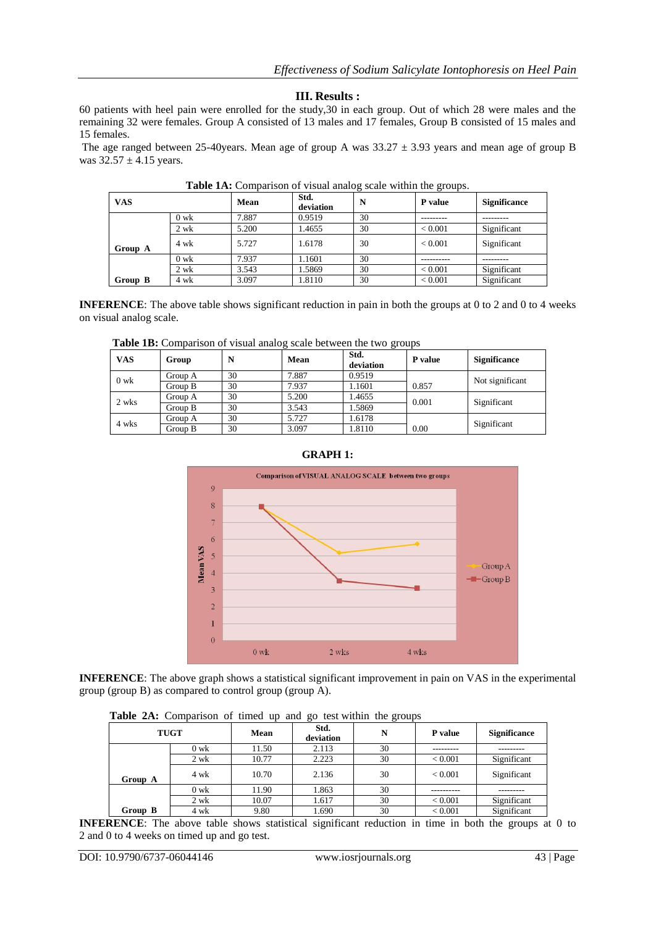### **III. Results :**

60 patients with heel pain were enrolled for the study,30 in each group. Out of which 28 were males and the remaining 32 were females. Group A consisted of 13 males and 17 females, Group B consisted of 15 males and 15 females.

The age ranged between 25-40years. Mean age of group A was  $33.27 \pm 3.93$  years and mean age of group B was  $32.57 \pm 4.15$  years.

| <b>VAS</b> |        | Mean  | Std.<br>deviation | N  | $\tilde{}$<br>P value | <b>Significance</b> |
|------------|--------|-------|-------------------|----|-----------------------|---------------------|
|            | $0$ wk | 7.887 | 0.9519            | 30 |                       |                     |
|            | $2$ wk | 5.200 | 1.4655            | 30 | ${}< 0.001$           | Significant         |
| Group A    | 4 wk   | 5.727 | 1.6178            | 30 | ${}_{< 0.001}$        | Significant         |
|            | $0$ wk | 7.937 | 1.1601            | 30 |                       |                     |
|            | $2$ wk | 3.543 | 1.5869            | 30 | ${}< 0.001$           | Significant         |
| Group B    | 4 wk   | 3.097 | 1.8110            | 30 | ${}< 0.001$           | Significant         |

**Table 1A:** Comparison of visual analog scale within the groups.

**INFERENCE**: The above table shows significant reduction in pain in both the groups at 0 to 2 and 0 to 4 weeks on visual analog scale.

| <b>VAS</b> | Group   | N  | Mean  | ັ<br>Std.<br>deviation | P value | <b>Significance</b> |
|------------|---------|----|-------|------------------------|---------|---------------------|
| $0$ wk     | Group A | 30 | 7.887 | 0.9519                 | 0.857   | Not significant     |
|            | Group B | 30 | 7.937 | 1.1601                 |         |                     |
| 2 wks      | Group A | 30 | 5.200 | 1.4655                 | 0.001   | Significant         |
|            | Group B | 30 | 3.543 | 1.5869                 |         |                     |
| 4 wks      | Group A | 30 | 5.727 | 1.6178                 |         | Significant         |
|            | Group B | 30 | 3.097 | 1.8110                 | 0.00    |                     |

 **Table 1B:** Comparison of visual analog scale between the two groups

# **GRAPH 1:**



**INFERENCE**: The above graph shows a statistical significant improvement in pain on VAS in the experimental group (group B) as compared to control group (group A).

 **Table 2A:** Comparison of timed up and go test within the groups

|             |                |       | o-                | ------ |                |                     |
|-------------|----------------|-------|-------------------|--------|----------------|---------------------|
| <b>TUGT</b> |                | Mean  | Std.<br>deviation | N      | P value        | <b>Significance</b> |
|             | $0 \text{ wk}$ | 11.50 | 2.113             | 30     |                |                     |
|             | 2 wk           | 10.77 | 2.223             | 30     | < 0.001        | Significant         |
| Group A     | 4 wk           | 10.70 | 2.136             | 30     | ${}_{< 0.001}$ | Significant         |
|             | $0 \text{ wk}$ | 11.90 | 1.863             | 30     |                |                     |
|             | 2 wk           | 10.07 | 1.617             | 30     | < 0.001        | Significant         |
| Group B     | 4 wk           | 9.80  | 1.690             | 30     | ${}_{< 0.001}$ | Significant         |

**INFERENCE**: The above table shows statistical significant reduction in time in both the groups at 0 to 2 and 0 to 4 weeks on timed up and go test.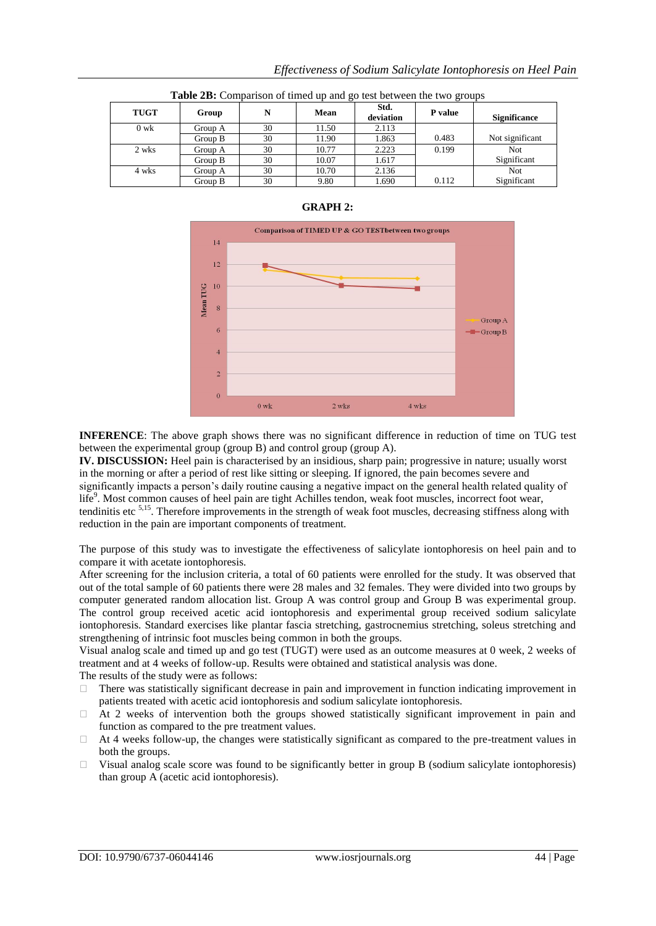| Table 2B: Comparison of timed up and go test between the two groups |         |    |       |                   |         |                     |
|---------------------------------------------------------------------|---------|----|-------|-------------------|---------|---------------------|
| <b>TUGT</b>                                                         | Group   | N  | Mean  | Std.<br>deviation | P value | <b>Significance</b> |
| $0 \text{ wk}$                                                      | Group A | 30 | 11.50 | 2.113             |         |                     |
|                                                                     | Group B | 30 | 11.90 | 1.863             | 0.483   | Not significant     |
| 2 wks                                                               | Group A | 30 | 10.77 | 2.223             | 0.199   | Not                 |
|                                                                     | Group B | 30 | 10.07 | 1.617             |         | Significant         |
| 4 wks                                                               | Group A | 30 | 10.70 | 2.136             |         | <b>Not</b>          |
|                                                                     | Group B | 30 | 9.80  | 1.690             | 0.112   | Significant         |

#### **GRAPH 2:**



**INFERENCE**: The above graph shows there was no significant difference in reduction of time on TUG test between the experimental group (group B) and control group (group A).

**IV. DISCUSSION:** Heel pain is characterised by an insidious, sharp pain; progressive in nature; usually worst in the morning or after a period of rest like sitting or sleeping. If ignored, the pain becomes severe and significantly impacts a person's daily routine causing a negative impact on the general health related quality of life<sup>9</sup>. Most common causes of heel pain are tight Achilles tendon, weak foot muscles, incorrect foot wear, tendinitis etc 5,15. Therefore improvements in the strength of weak foot muscles, decreasing stiffness along with reduction in the pain are important components of treatment.

The purpose of this study was to investigate the effectiveness of salicylate iontophoresis on heel pain and to compare it with acetate iontophoresis.

After screening for the inclusion criteria, a total of 60 patients were enrolled for the study. It was observed that out of the total sample of 60 patients there were 28 males and 32 females. They were divided into two groups by computer generated random allocation list. Group A was control group and Group B was experimental group. The control group received acetic acid iontophoresis and experimental group received sodium salicylate iontophoresis. Standard exercises like plantar fascia stretching, gastrocnemius stretching, soleus stretching and strengthening of intrinsic foot muscles being common in both the groups.

Visual analog scale and timed up and go test (TUGT) were used as an outcome measures at 0 week, 2 weeks of treatment and at 4 weeks of follow-up. Results were obtained and statistical analysis was done. The results of the study were as follows:

- $\Box$  There was statistically significant decrease in pain and improvement in function indicating improvement in patients treated with acetic acid iontophoresis and sodium salicylate iontophoresis.
- $\Box$  At 2 weeks of intervention both the groups showed statistically significant improvement in pain and function as compared to the pre treatment values.
- $\Box$  At 4 weeks follow-up, the changes were statistically significant as compared to the pre-treatment values in both the groups.
- $\Box$  Visual analog scale score was found to be significantly better in group B (sodium salicylate iontophoresis) than group A (acetic acid iontophoresis).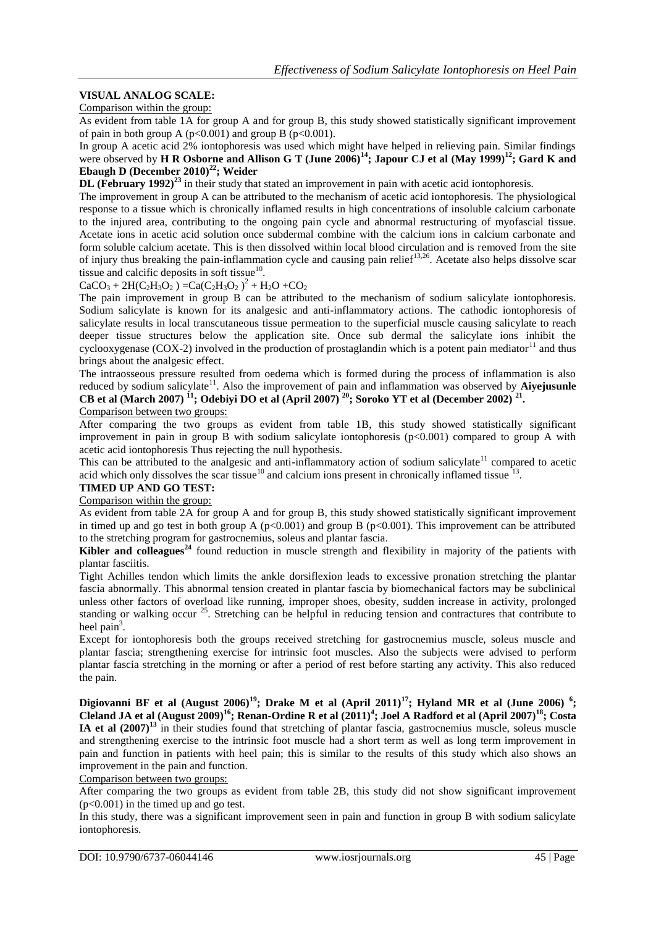# **VISUAL ANALOG SCALE:**

Comparison within the group:

As evident from table 1A for group A and for group B, this study showed statistically significant improvement of pain in both group A ( $p<0.001$ ) and group B ( $p<0.001$ ).

In group A acetic acid 2% iontophoresis was used which might have helped in relieving pain. Similar findings were observed by **H R Osborne and Allison G T (June 2006)<sup>14</sup>; Japour CJ et al (May 1999)<sup>12</sup>; Gard K and Ebaugh D (December 2010)<sup>22</sup>; Weider**

**DL (February 1992)<sup>23</sup>** in their study that stated an improvement in pain with acetic acid iontophoresis.

The improvement in group A can be attributed to the mechanism of acetic acid iontophoresis. The physiological response to a tissue which is chronically inflamed results in high concentrations of insoluble calcium carbonate to the injured area, contributing to the ongoing pain cycle and abnormal restructuring of myofascial tissue. Acetate ions in acetic acid solution once subdermal combine with the calcium ions in calcium carbonate and form soluble calcium acetate. This is then dissolved within local blood circulation and is removed from the site of injury thus breaking the pain-inflammation cycle and causing pain relief<sup>13,26</sup>. Acetate also helps dissolve scar tissue and calcific deposits in soft tissue $^{10}$ .

 $CaCO_3 + 2H(C_2H_3O_2) = Ca(C_2H_3O_2)^2 + H_2O + CO_2$ 

The pain improvement in group B can be attributed to the mechanism of sodium salicylate iontophoresis. Sodium salicylate is known for its analgesic and anti-inflammatory actions. The cathodic iontophoresis of salicylate results in local transcutaneous tissue permeation to the superficial muscle causing salicylate to reach deeper tissue structures below the application site. Once sub dermal the salicylate ions inhibit the cyclooxygenase (COX-2) involved in the production of prostaglandin which is a potent pain mediator  $11$  and thus brings about the analgesic effect.

The intraosseous pressure resulted from oedema which is formed during the process of inflammation is also reduced by sodium salicylate<sup>11</sup>. Also the improvement of pain and inflammation was observed by **Aiyejusunle CB et al (March 2007) <sup>11</sup>; Odebiyi DO et al (April 2007) <sup>20</sup>; Soroko YT et al (December 2002) <sup>21</sup> .** Comparison between two groups:

After comparing the two groups as evident from table 1B, this study showed statistically significant improvement in pain in group B with sodium salicylate iontophoresis (p<0.001) compared to group A with acetic acid iontophoresis Thus rejecting the null hypothesis.

This can be attributed to the analgesic and anti-inflammatory action of sodium salicylate<sup>11</sup> compared to acetic acid which only dissolves the scar tissue<sup>10</sup> and calcium ions present in chronically inflamed tissue<sup>13</sup>.

#### **TIMED UP AND GO TEST:**

Comparison within the group:

As evident from table 2A for group A and for group B, this study showed statistically significant improvement in timed up and go test in both group A ( $p<0.001$ ) and group B ( $p<0.001$ ). This improvement can be attributed to the stretching program for gastrocnemius, soleus and plantar fascia.

**Kibler and colleagues<sup>24</sup>** found reduction in muscle strength and flexibility in majority of the patients with plantar fasciitis.

Tight Achilles tendon which limits the ankle dorsiflexion leads to excessive pronation stretching the plantar fascia abnormally. This abnormal tension created in plantar fascia by biomechanical factors may be subclinical unless other factors of overload like running, improper shoes, obesity, sudden increase in activity, prolonged standing or walking occur<sup>25</sup>. Stretching can be helpful in reducing tension and contractures that contribute to heel pain<sup>3</sup>.

Except for iontophoresis both the groups received stretching for gastrocnemius muscle, soleus muscle and plantar fascia; strengthening exercise for intrinsic foot muscles. Also the subjects were advised to perform plantar fascia stretching in the morning or after a period of rest before starting any activity. This also reduced the pain.

**Digiovanni BF et al (August 2006)<sup>19</sup>; Drake M et al (April 2011)<sup>17</sup>; Hyland MR et al (June 2006) <sup>6</sup> ; Cleland JA et al (August 2009)<sup>16</sup>; Renan-Ordine R et al (2011)<sup>4</sup> ; [Joel A Radford e](http://www.ncbi.nlm.nih.gov/pubmed/?term=Radford%20JA%5Bauth%5D)t al (April 2007)<sup>18</sup>; Costa IA et al (2007)<sup>13</sup>** in their studies found that stretching of plantar fascia, gastrocnemius muscle, soleus muscle and strengthening exercise to the intrinsic foot muscle had a short term as well as long term improvement in pain and function in patients with heel pain; this is similar to the results of this study which also shows an improvement in the pain and function.

Comparison between two groups:

After comparing the two groups as evident from table 2B, this study did not show significant improvement  $(p<0.001)$  in the timed up and go test.

In this study, there was a significant improvement seen in pain and function in group B with sodium salicylate iontophoresis.